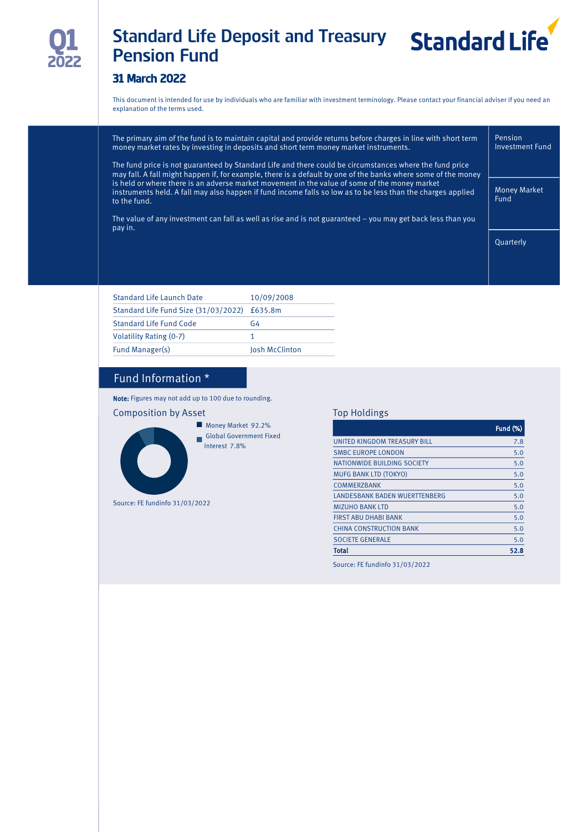

# Standard Life Deposit and Treasury Standard Life Pension Fund



# 31 March 2022

This document is intended for use by individuals who are familiar with investment terminology. Please contact your financial adviser if you need an explanation of the terms used.

|  | The primary aim of the fund is to maintain capital and provide returns before charges in line with short term<br>money market rates by investing in deposits and short term money market instruments.                        | Pension<br><b>Investment Fund</b> |
|--|------------------------------------------------------------------------------------------------------------------------------------------------------------------------------------------------------------------------------|-----------------------------------|
|  | The fund price is not guaranteed by Standard Life and there could be circumstances where the fund price<br>may fall. A fall might happen if, for example, there is a default by one of the banks where some of the money     |                                   |
|  | is held or where there is an adverse market movement in the value of some of the money market<br>instruments held. A fall may also happen if fund income falls so low as to be less than the charges applied<br>to the fund. | <b>Money Market</b><br>Fund       |
|  | The value of any investment can fall as well as rise and is not guaranteed $-$ you may get back less than you<br>pay in.                                                                                                     |                                   |
|  |                                                                                                                                                                                                                              | Ouarterly                         |
|  |                                                                                                                                                                                                                              |                                   |

| <b>Standard Life Launch Date</b>             | 10/09/2008     |
|----------------------------------------------|----------------|
| Standard Life Fund Size (31/03/2022) £635.8m |                |
| Standard Life Fund Code                      | G4             |
| Volatility Rating (0-7)                      |                |
| Fund Manager(s)                              | Josh McClinton |
|                                              |                |

# Fund Information \*

Note: Figures may not add up to 100 due to rounding.





Source: FE fundinfo 31/03/2022

Top Holdings

|                                | <b>Fund (%)</b> |
|--------------------------------|-----------------|
| UNITED KINGDOM TREASURY BILL   | 7.8             |
| <b>SMBC EUROPE LONDON</b>      | 5.0             |
| NATIONWIDE BUILDING SOCIETY    | 5.0             |
| <b>MUFG BANK LTD (TOKYO)</b>   | 5.0             |
| <b>COMMERZBANK</b>             | 5.0             |
| LANDESBANK BADEN WUERTTENBERG  | 5.0             |
| <b>MIZUHO BANK LTD</b>         | 5.0             |
| <b>FIRST ABU DHABI BANK</b>    | 5.0             |
| <b>CHINA CONSTRUCTION BANK</b> | 5.0             |
| <b>SOCIETE GENERALE</b>        | 5.0             |
| Total                          | 52.8            |

Source: FE fundinfo 31/03/2022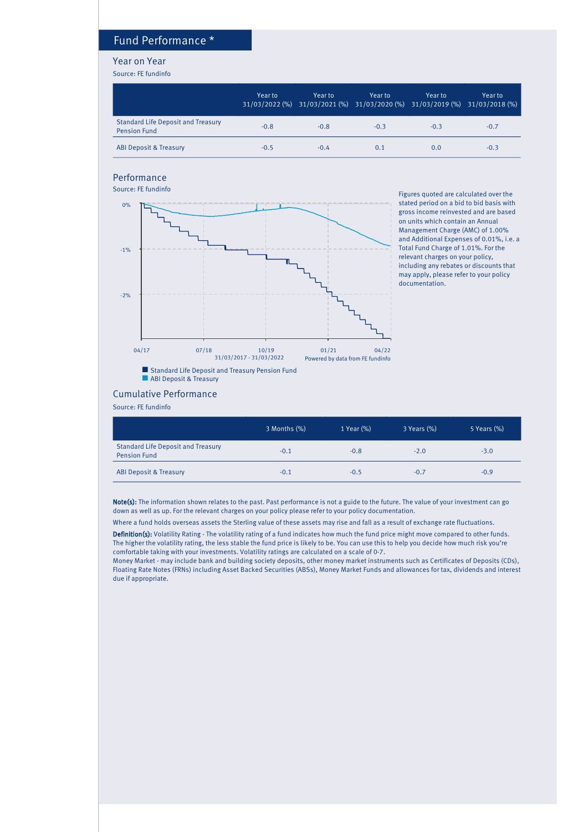### Fund Performance \*

#### Year on Year

Source: FE fundinfo

|                                                                  | Year to | Year to<br>31/03/2022 (%) 31/03/2021 (%) 31/03/2020 (%) 31/03/2019 (%) 31/03/2018 (%) | Year to | Year to | Year to |
|------------------------------------------------------------------|---------|---------------------------------------------------------------------------------------|---------|---------|---------|
| <b>Standard Life Deposit and Treasury</b><br><b>Pension Fund</b> | $-0.8$  | $-0.8$                                                                                | $-0.3$  | $-0.3$  | $-0.7$  |
| <b>ABI Deposit &amp; Treasury</b>                                | $-0.5$  | $-0.4$                                                                                | 0.1     | 0.0     | $-0.3$  |

#### Performance



Figures quoted are calculated over the stated period on a bid to bid basis with gross income reinvested and are based on units which contain an Annual Management Charge (AMC) of 1.00% and Additional Expenses of 0.01%, i.e. a Total Fund Charge of 1.01%. For the relevant charges on your policy, including any rebates or discounts that may apply, please refer to your policy documentation.

#### Cumulative Performance

Source: FE fundinfo

|                                                                  | 3 Months (%) | 1 Year (%) | 3 Years (%) | 5 Years (%) |
|------------------------------------------------------------------|--------------|------------|-------------|-------------|
| <b>Standard Life Deposit and Treasury</b><br><b>Pension Fund</b> | $-0.1$       | $-0.8$     | $-2.0$      | $-3.0$      |
| <b>ABI Deposit &amp; Treasury</b>                                | $-0.1$       | $-0.5$     | $-0.7$      | $-0.9$      |

Note(s): The information shown relates to the past. Past performance is not a guide to the future. The value of your investment can go down as well as up. For the relevant charges on your policy please refer to your policy documentation.

Where a fund holds overseas assets the Sterling value of these assets may rise and fall as a result of exchange rate fluctuations.

Definition(s): Volatility Rating - The volatility rating of a fund indicates how much the fund price might move compared to other funds. The higher the volatility rating, the less stable the fund price is likely to be. You can use this to help you decide how much risk you're comfortable taking with your investments. Volatility ratings are calculated on a scale of 0-7.

Money Market - may include bank and building society deposits, other money market instruments such as Certificates of Deposits (CDs), Floating Rate Notes (FRNs) including Asset Backed Securities (ABSs), Money Market Funds and allowances for tax, dividends and interest due if appropriate.